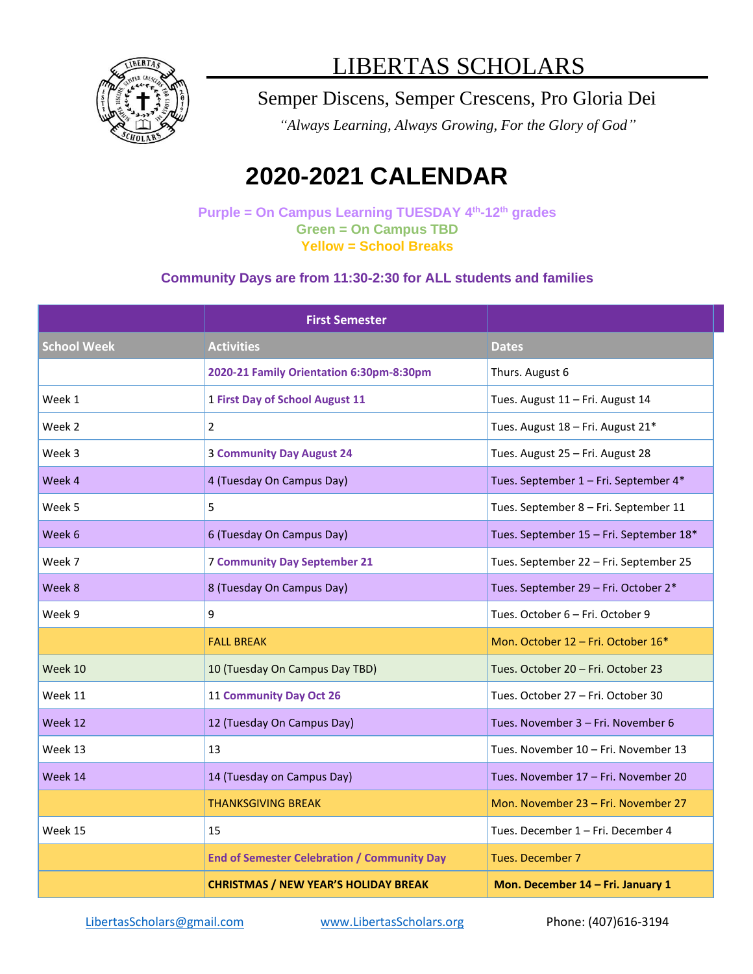

## LIBERTAS SCHOLARS

### Semper Discens, Semper Crescens, Pro Gloria Dei

*"Always Learning, Always Growing, For the Glory of God"*

# **2020-2021 CALENDAR**

**Purple = On Campus Learning TUESDAY 4 th -12th grades Green = On Campus TBD Yellow = School Breaks**

#### **Community Days are from 11:30-2:30 for ALL students and families**

|                    | <b>First Semester</b>                              |                                         |
|--------------------|----------------------------------------------------|-----------------------------------------|
| <b>School Week</b> | <b>Activities</b>                                  | <b>Dates</b>                            |
|                    | 2020-21 Family Orientation 6:30pm-8:30pm           | Thurs. August 6                         |
| Week 1             | 1 First Day of School August 11                    | Tues. August 11 - Fri. August 14        |
| Week 2             | $\overline{2}$                                     | Tues. August 18 - Fri. August 21*       |
| Week 3             | <b>3 Community Day August 24</b>                   | Tues. August 25 - Fri. August 28        |
| Week 4             | 4 (Tuesday On Campus Day)                          | Tues. September 1 - Fri. September 4*   |
| Week 5             | 5                                                  | Tues. September 8 - Fri. September 11   |
| Week 6             | 6 (Tuesday On Campus Day)                          | Tues. September 15 - Fri. September 18* |
| Week 7             | <b>7 Community Day September 21</b>                | Tues. September 22 - Fri. September 25  |
| Week 8             | 8 (Tuesday On Campus Day)                          | Tues. September 29 - Fri. October 2*    |
| Week 9             | 9                                                  | Tues. October 6 - Fri. October 9        |
|                    | <b>FALL BREAK</b>                                  | Mon. October 12 - Fri. October 16*      |
| Week 10            | 10 (Tuesday On Campus Day TBD)                     | Tues. October 20 - Fri. October 23      |
| Week 11            | 11 Community Day Oct 26                            | Tues. October 27 - Fri. October 30      |
| Week 12            | 12 (Tuesday On Campus Day)                         | Tues. November 3 - Fri. November 6      |
| Week 13            | 13                                                 | Tues. November 10 - Fri. November 13    |
| Week 14            | 14 (Tuesday on Campus Day)                         | Tues. November 17 - Fri. November 20    |
|                    | THANKSGIVING BREAK                                 | Mon. November 23 - Fri. November 27     |
| Week 15            | 15                                                 | Tues. December 1 – Fri. December 4      |
|                    | <b>End of Semester Celebration / Community Day</b> | Tues. December 7                        |
|                    | <b>CHRISTMAS / NEW YEAR'S HOLIDAY BREAK</b>        | Mon. December 14 - Fri. January 1       |